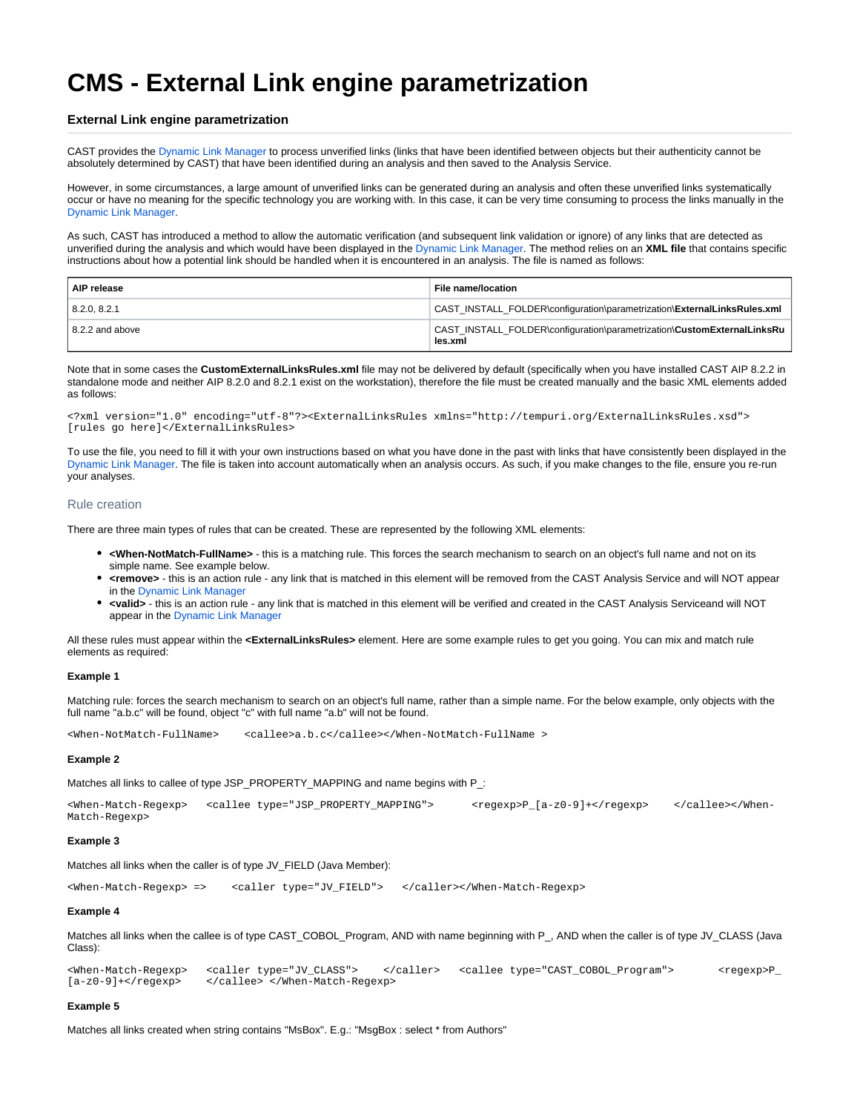# **CMS - External Link engine parametrization**

# **External Link engine parametrization**

CAST provides the [Dynamic Link Manager](https://doc.castsoftware.com/display/DOC82/CMS+-+Reviewing+Dynamic+Links) to process unverified links (links that have been identified between objects but their authenticity cannot be absolutely determined by CAST) that have been identified during an analysis and then saved to the Analysis Service.

However, in some circumstances, a large amount of unverified links can be generated during an analysis and often these unverified links systematically occur or have no meaning for the specific technology you are working with. In this case, it can be very time consuming to process the links manually in the [Dynamic Link Manager.](https://doc.castsoftware.com/display/DOC82/CMS+-+Reviewing+Dynamic+Links)

As such, CAST has introduced a method to allow the automatic verification (and subsequent link validation or ignore) of any links that are detected as unverified during the analysis and which would have been displayed in the [Dynamic Link Manager.](https://doc.castsoftware.com/display/DOC82/CMS+-+Reviewing+Dynamic+Links) The method relies on an **XML file** that contains specific instructions about how a potential link should be handled when it is encountered in an analysis. The file is named as follows:

| AIP release             | File name/location                                                                 |
|-------------------------|------------------------------------------------------------------------------------|
| 8.2.0.8.2.1             | CAST INSTALL FOLDER\configuration\parametrization\ExternalLinksRules.xml           |
| $\vert$ 8.2.2 and above | CAST INSTALL FOLDER\configuration\parametrization\CustomExternalLinksRu<br>les.xml |

Note that in some cases the **CustomExternalLinksRules.xml** file may not be delivered by default (specifically when you have installed CAST AIP 8.2.2 in standalone mode and neither AIP 8.2.0 and 8.2.1 exist on the workstation), therefore the file must be created manually and the basic XML elements added as follows:

<?xml version="1.0" encoding="utf-8"?><ExternalLinksRules xmlns="http://tempuri.org/ExternalLinksRules.xsd"> [rules go here]</ExternalLinksRules>

To use the file, you need to fill it with your own instructions based on what you have done in the past with links that have consistently been displayed in the [Dynamic Link Manager.](https://doc.castsoftware.com/display/DOC82/CMS+-+Reviewing+Dynamic+Links) The file is taken into account automatically when an analysis occurs. As such, if you make changes to the file, ensure you re-run your analyses.

#### Rule creation

There are three main types of rules that can be created. These are represented by the following XML elements:

- **<When-NotMatch-FullName>** this is a matching rule. This forces the search mechanism to search on an object's full name and not on its simple name. See example below.
- **<remove>** this is an action rule any link that is matched in this element will be removed from the CAST Analysis Service and will NOT appear in the [Dynamic Link Manager](https://doc.castsoftware.com/display/DOC82/CMS+-+Reviewing+Dynamic+Links)
- **<valid>** this is an action rule any link that is matched in this element will be verified and created in the CAST Analysis Serviceand will NOT appear in the [Dynamic Link Manager](https://doc.castsoftware.com/display/DOC82/CMS+-+Reviewing+Dynamic+Links)

All these rules must appear within the **<ExternalLinksRules>** element. Here are some example rules to get you going. You can mix and match rule elements as required:

## **Example 1**

Matching rule: forces the search mechanism to search on an object's full name, rather than a simple name. For the below example, only objects with the full name "a.b.c" will be found, object "c" with full name "a.b" will not be found.

<When-NotMatch-FullName> <callee>a.b.c</callee></When-NotMatch-FullName >

#### **Example 2**

Matches all links to callee of type JSP\_PROPERTY\_MAPPING and name begins with P\_:

<When-Match-Regexp> <callee type="JSP\_PROPERTY\_MAPPING"> <regexp>P\_[a-z0-9]+</regexp> </callee></When-Match-Regexp>

#### **Example 3**

Matches all links when the caller is of type JV\_FIELD (Java Member):

<When-Match-Regexp> => <caller type="JV\_FIELD"> </caller></When-Match-Regexp>

#### **Example 4**

Matches all links when the callee is of type CAST\_COBOL\_Program, AND with name beginning with P\_, AND when the caller is of type JV\_CLASS (Java Class):

<When-Match-Regexp> <caller type="JV\_CLASS"> </caller> <callee type="CAST\_COBOL\_Program"> <regexp>P\_ </callee> </When-Match-Regexp>

#### **Example 5**

Matches all links created when string contains "MsBox". E.g.: "MsgBox : select \* from Authors"